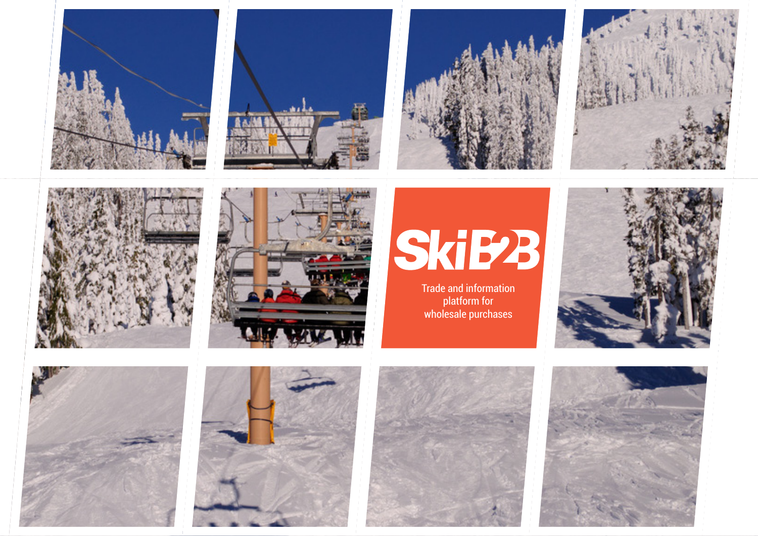





Trade and information platform for wholesale purchases









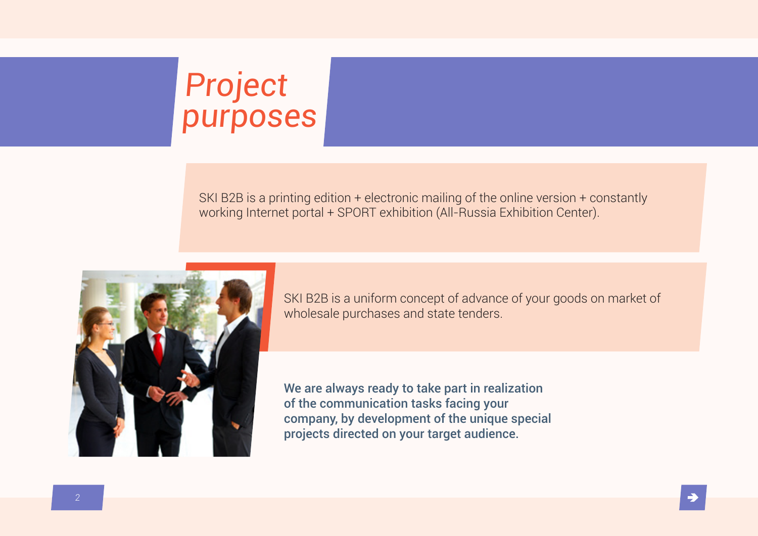# Project purposes

SKI B2B is a printing edition + electronic mailing of the online version + constantly working Internet portal + SPORT exhibition (All-Russia Exhibition Center).



SKI B2B is a uniform concept of advance of your goods on market of wholesale purchases and state tenders.

We are always ready to take part in realization of the communication tasks facing your company, by development of the unique special projects directed on your target audience.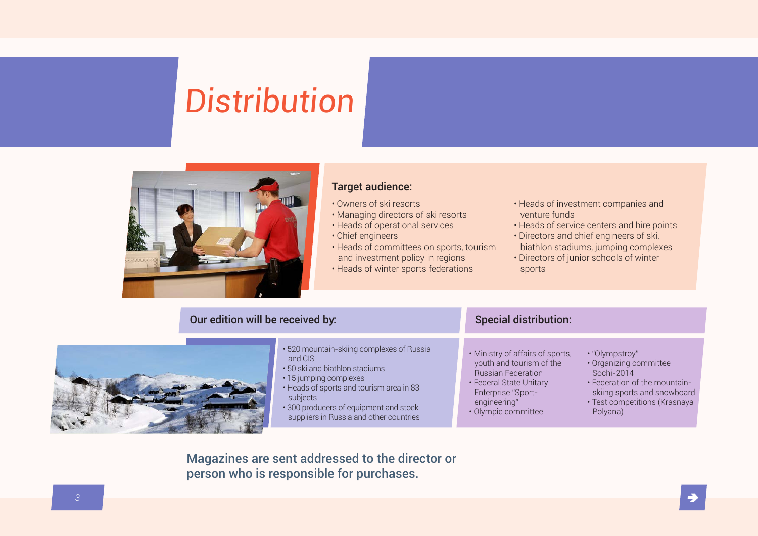# **Distribution**



#### Target audience:

- Owners of ski resorts
- Managing directors of ski resorts
- Heads of operational services
- Chief engineers
- Heads of committees on sports, tourism and investment policy in regions
- Heads of winter sports federations
- Heads of investment companies and venture funds
- Heads of service centers and hire points
- Directors and chief engineers of ski, biathlon stadiums, jumping complexes
- Directors of junior schools of winter sports

#### Our edition will be received by:



- 520 mountain-skiing complexes of Russia and CIS
- 50 ski and biathlon stadiums
- 15 jumping complexes
- Heads of sports and tourism area in 83 subjects
- 300 producers of equipment and stock suppliers in Russia and other countries

#### Special distribution:

- Ministry of affairs of sports, youth and tourism of the Russian Federation
- Federal State Unitary Enterprise "Sportengineering"
- Olympic committee
- "Olympstroy"
	- Organizing committee Sochi-2014
	- Federation of the mountainskiing sports and snowboard
	- Test competitions (Krasnaya Polyana)

Magazines are sent addressed to the director or person who is responsible for purchases.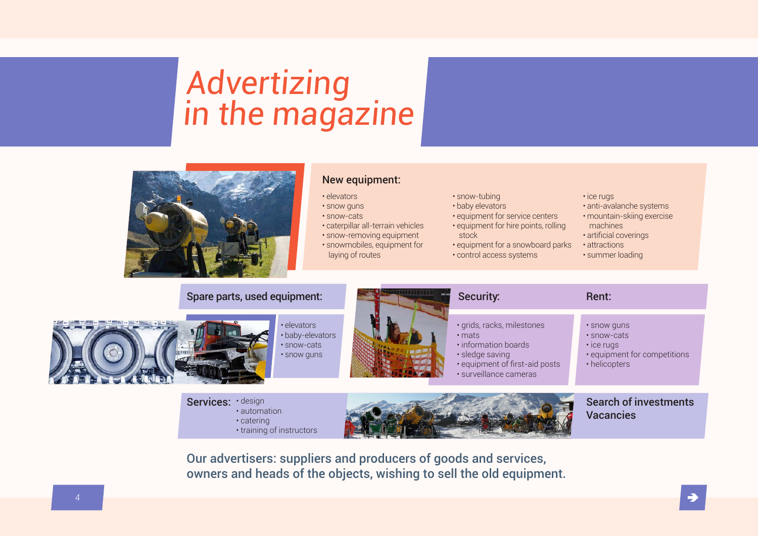## Advertizing in the magazine



#### New equipment:

• elevators

- snow guns
- snow-cats
- caterpillar all-terrain vehicles
- snow-removing equipment
- snowmobiles, equipment for laying of routes
- 
- snow-tubing
- baby elevators
- equipment for service centers
- equipment for hire points, rolling stock
- equipment for a snowboard parks
- control access systems
- ice rugs
- anti-avalanche systems
- mountain-skiing exercise
- machines
- artificial coverings
- attractions
- summer loading



Services: design • automation • catering • training of instructors



Search of investments Vacancies

Our advertisers: suppliers and producers of goods and services, owners and heads of the objects, wishing to sell the old equipment.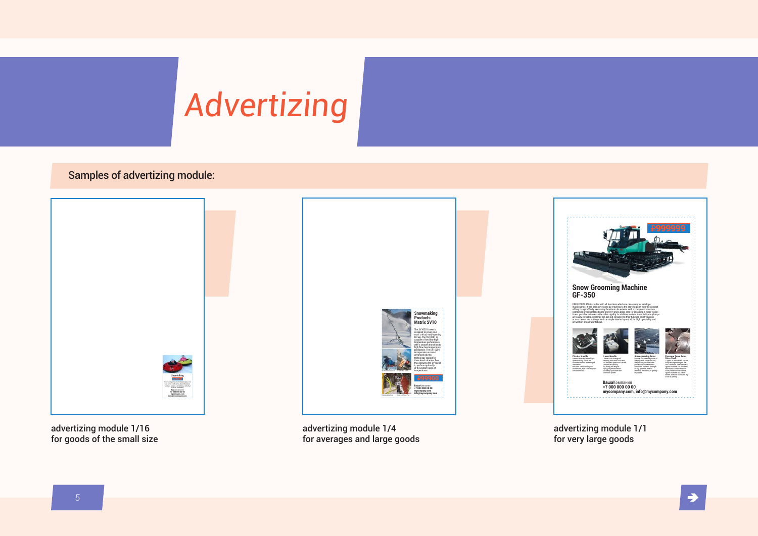# Advertizing

#### Samples of advertizing module:



for averages and large goods

for very large goods

for goods of the small size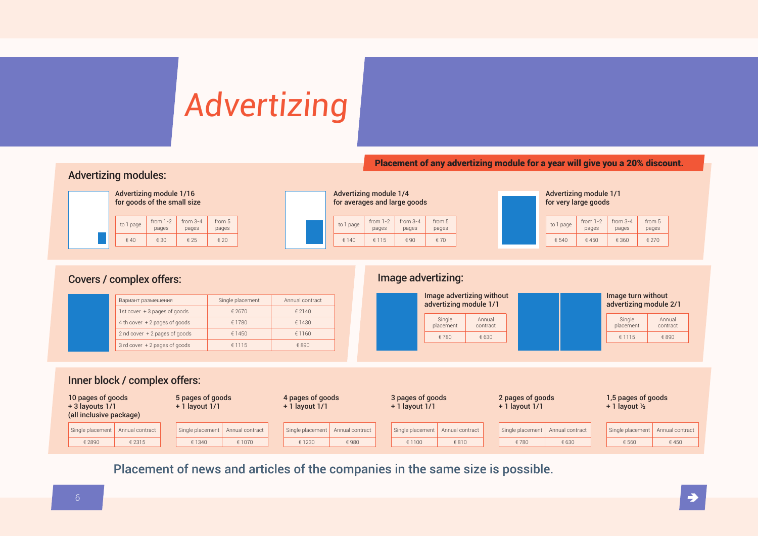# Advertizing

Placement of any advertizing module for a year will give you a 20% discount.

#### Advertizing modules:

| Advertizing module 1/16<br>for goods of the small size |                     |                     |                 |  |  |  |  |  |  |  |
|--------------------------------------------------------|---------------------|---------------------|-----------------|--|--|--|--|--|--|--|
| to 1 page                                              | from $1-2$<br>pages | from $3-4$<br>pages | from 5<br>pages |  |  |  |  |  |  |  |
| $\n  40\n$                                             | $\epsilon$ 30       | ∈ 25                | $\epsilon$ 20   |  |  |  |  |  |  |  |

| Advertizing module 1/4<br>for averages and large goods |           |                     |                     |                 |  |  |  |  |  |  |  |  |  |
|--------------------------------------------------------|-----------|---------------------|---------------------|-----------------|--|--|--|--|--|--|--|--|--|
|                                                        | to 1 page | from $1-2$<br>pages | $from 3-4$<br>pages | from 5<br>pages |  |  |  |  |  |  |  |  |  |
|                                                        | £ 140     | € 115               | $\n  4$             | £70             |  |  |  |  |  |  |  |  |  |



#### Covers / complex offers: Image advertizing:

| Вариант размешения               | Single placement | Annual contract |  |  |  |
|----------------------------------|------------------|-----------------|--|--|--|
| 1st cover + 3 pages of goods     | € 2670           | € 2140          |  |  |  |
| 4 th cover $+2$ pages of goods   | € 1780           | € 1430          |  |  |  |
| 2 nd cover $+2$ pages of goods   | € 1450           | €1160           |  |  |  |
| $3$ rd cover $+2$ pages of goods | €1115            | £890            |  |  |  |



#### Inner block / complex offers:

| 10 pages of goods<br>$+3$ layouts $1/1$<br>(all inclusive package) |                  | 5 pages of goods<br>$+1$ layout $1/1$ |                  | 4 pages of goods<br>$+1$ layout $1/1$ |                                    | 3 pages of goods<br>$+1$ layout $1/1$ |                  | 2 pages of goods<br>$+1$ layout $1/1$ |                  |                 | 1,5 pages of goods<br>$+1$ layout $\frac{1}{2}$ |                  |                 |
|--------------------------------------------------------------------|------------------|---------------------------------------|------------------|---------------------------------------|------------------------------------|---------------------------------------|------------------|---------------------------------------|------------------|-----------------|-------------------------------------------------|------------------|-----------------|
|                                                                    | Single placement | Annual contract                       | Single placement | Annual contract                       | Single placement   Annual contract |                                       | Single placement | Annual contract                       | Single placement | Annual contract |                                                 | Single placement | Annual contract |
|                                                                    | € 2890           | € 2315                                | € 1340           | € 1070                                | € 1230                             | €980                                  | € 1100           | € 810                                 | €780             | € 630           |                                                 | € 560            | €450            |

Placement of news and articles of the companies in the same size is possible.